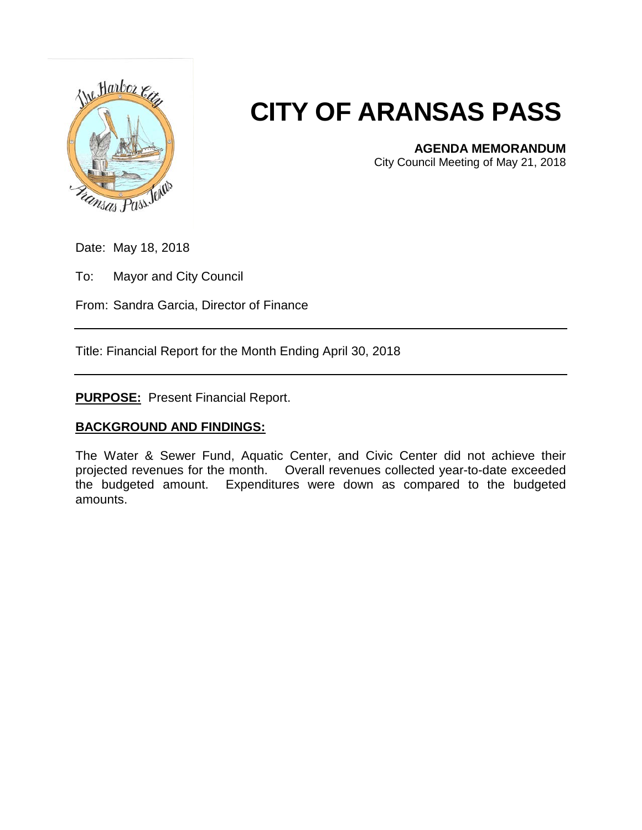

## **CITY OF ARANSAS PASS**

**AGENDA MEMORANDUM**

City Council Meeting of May 21, 2018

Date: May 18, 2018

To: Mayor and City Council

From: Sandra Garcia, Director of Finance

Title: Financial Report for the Month Ending April 30, 2018

**PURPOSE:** Present Financial Report.

## **BACKGROUND AND FINDINGS:**

The Water & Sewer Fund, Aquatic Center, and Civic Center did not achieve their projected revenues for the month. Overall revenues collected year-to-date exceeded the budgeted amount. Expenditures were down as compared to the budgeted amounts.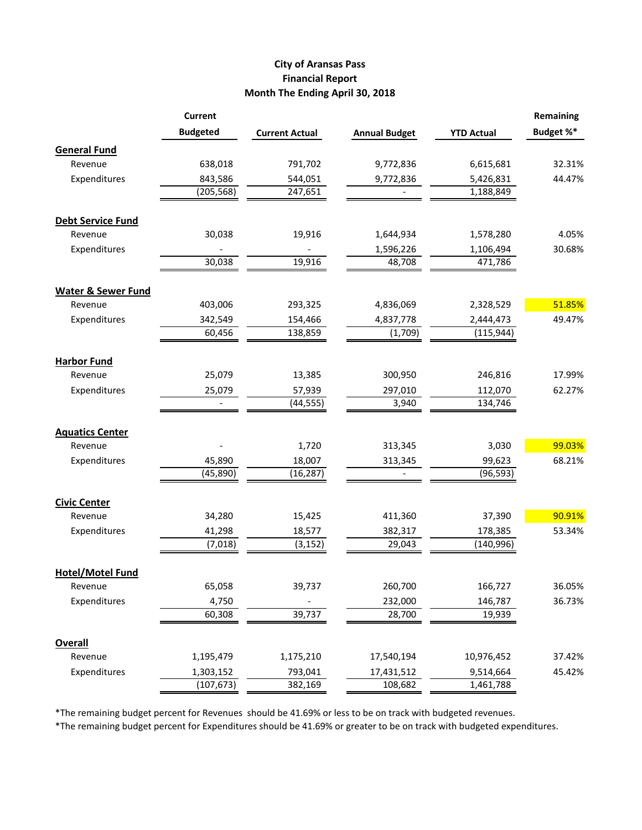## **City of Aransas Pass Financial Report Month The Ending April 30, 2018**

| Budget %*<br><b>Budgeted</b><br><b>Annual Budget</b><br><b>YTD Actual</b><br><b>Current Actual</b><br><b>General Fund</b><br>638,018<br>Revenue<br>791,702<br>9,772,836<br>6,615,681<br>Expenditures<br>843,586<br>544,051<br>5,426,831<br>44.47%<br>9,772,836<br>(205, 568)<br>247,651<br>1,188,849<br><b>Debt Service Fund</b><br>30,038<br>19,916<br>4.05%<br>Revenue<br>1,644,934<br>1,578,280<br>Expenditures<br>30.68%<br>1,596,226<br>1,106,494<br>30,038<br>19,916<br>48,708<br>471,786<br><b>Water &amp; Sewer Fund</b><br>403,006<br>Revenue<br>293,325<br>4,836,069<br>2,328,529<br>Expenditures<br>342,549<br>49.47%<br>154,466<br>4,837,778<br>2,444,473<br>60,456<br>(115, 944)<br>138,859<br>(1,709)<br><b>Harbor Fund</b><br>Revenue<br>25,079<br>13,385<br>246,816<br>17.99%<br>300,950<br>Expenditures<br>25,079<br>57,939<br>297,010<br>112,070<br>62.27%<br>(44, 555)<br>134,746<br>3,940<br><b>Aquatics Center</b><br>1,720<br>313,345<br>3,030<br>Revenue<br>Expenditures<br>45,890<br>99,623<br>68.21%<br>18,007<br>313,345<br>(16, 287)<br>(45,890)<br>(96, 593)<br><b>Civic Center</b><br>90.91%<br>37,390<br>Revenue<br>34,280<br>15,425<br>411,360<br>Expenditures<br>41,298<br>382,317<br>178,385<br>53.34%<br>18,577<br>(7,018)<br>(3, 152)<br>29,043<br>(140, 996)<br><b>Hotel/Motel Fund</b><br>65,058<br>39,737<br>260,700<br>166,727<br>Revenue<br>Expenditures<br>4,750<br>232,000<br>146,787<br>60,308<br>39,737<br>28,700<br>19,939 |  | <b>Current</b> |  | <b>Remaining</b> |
|-------------------------------------------------------------------------------------------------------------------------------------------------------------------------------------------------------------------------------------------------------------------------------------------------------------------------------------------------------------------------------------------------------------------------------------------------------------------------------------------------------------------------------------------------------------------------------------------------------------------------------------------------------------------------------------------------------------------------------------------------------------------------------------------------------------------------------------------------------------------------------------------------------------------------------------------------------------------------------------------------------------------------------------------------------------------------------------------------------------------------------------------------------------------------------------------------------------------------------------------------------------------------------------------------------------------------------------------------------------------------------------------------------------------------------------------------------------------------|--|----------------|--|------------------|
|                                                                                                                                                                                                                                                                                                                                                                                                                                                                                                                                                                                                                                                                                                                                                                                                                                                                                                                                                                                                                                                                                                                                                                                                                                                                                                                                                                                                                                                                         |  |                |  |                  |
|                                                                                                                                                                                                                                                                                                                                                                                                                                                                                                                                                                                                                                                                                                                                                                                                                                                                                                                                                                                                                                                                                                                                                                                                                                                                                                                                                                                                                                                                         |  |                |  |                  |
|                                                                                                                                                                                                                                                                                                                                                                                                                                                                                                                                                                                                                                                                                                                                                                                                                                                                                                                                                                                                                                                                                                                                                                                                                                                                                                                                                                                                                                                                         |  |                |  | 32.31%           |
|                                                                                                                                                                                                                                                                                                                                                                                                                                                                                                                                                                                                                                                                                                                                                                                                                                                                                                                                                                                                                                                                                                                                                                                                                                                                                                                                                                                                                                                                         |  |                |  |                  |
|                                                                                                                                                                                                                                                                                                                                                                                                                                                                                                                                                                                                                                                                                                                                                                                                                                                                                                                                                                                                                                                                                                                                                                                                                                                                                                                                                                                                                                                                         |  |                |  |                  |
|                                                                                                                                                                                                                                                                                                                                                                                                                                                                                                                                                                                                                                                                                                                                                                                                                                                                                                                                                                                                                                                                                                                                                                                                                                                                                                                                                                                                                                                                         |  |                |  |                  |
|                                                                                                                                                                                                                                                                                                                                                                                                                                                                                                                                                                                                                                                                                                                                                                                                                                                                                                                                                                                                                                                                                                                                                                                                                                                                                                                                                                                                                                                                         |  |                |  |                  |
|                                                                                                                                                                                                                                                                                                                                                                                                                                                                                                                                                                                                                                                                                                                                                                                                                                                                                                                                                                                                                                                                                                                                                                                                                                                                                                                                                                                                                                                                         |  |                |  |                  |
|                                                                                                                                                                                                                                                                                                                                                                                                                                                                                                                                                                                                                                                                                                                                                                                                                                                                                                                                                                                                                                                                                                                                                                                                                                                                                                                                                                                                                                                                         |  |                |  |                  |
|                                                                                                                                                                                                                                                                                                                                                                                                                                                                                                                                                                                                                                                                                                                                                                                                                                                                                                                                                                                                                                                                                                                                                                                                                                                                                                                                                                                                                                                                         |  |                |  |                  |
|                                                                                                                                                                                                                                                                                                                                                                                                                                                                                                                                                                                                                                                                                                                                                                                                                                                                                                                                                                                                                                                                                                                                                                                                                                                                                                                                                                                                                                                                         |  |                |  |                  |
|                                                                                                                                                                                                                                                                                                                                                                                                                                                                                                                                                                                                                                                                                                                                                                                                                                                                                                                                                                                                                                                                                                                                                                                                                                                                                                                                                                                                                                                                         |  |                |  | 51.85%           |
|                                                                                                                                                                                                                                                                                                                                                                                                                                                                                                                                                                                                                                                                                                                                                                                                                                                                                                                                                                                                                                                                                                                                                                                                                                                                                                                                                                                                                                                                         |  |                |  |                  |
|                                                                                                                                                                                                                                                                                                                                                                                                                                                                                                                                                                                                                                                                                                                                                                                                                                                                                                                                                                                                                                                                                                                                                                                                                                                                                                                                                                                                                                                                         |  |                |  |                  |
|                                                                                                                                                                                                                                                                                                                                                                                                                                                                                                                                                                                                                                                                                                                                                                                                                                                                                                                                                                                                                                                                                                                                                                                                                                                                                                                                                                                                                                                                         |  |                |  |                  |
|                                                                                                                                                                                                                                                                                                                                                                                                                                                                                                                                                                                                                                                                                                                                                                                                                                                                                                                                                                                                                                                                                                                                                                                                                                                                                                                                                                                                                                                                         |  |                |  |                  |
|                                                                                                                                                                                                                                                                                                                                                                                                                                                                                                                                                                                                                                                                                                                                                                                                                                                                                                                                                                                                                                                                                                                                                                                                                                                                                                                                                                                                                                                                         |  |                |  |                  |
|                                                                                                                                                                                                                                                                                                                                                                                                                                                                                                                                                                                                                                                                                                                                                                                                                                                                                                                                                                                                                                                                                                                                                                                                                                                                                                                                                                                                                                                                         |  |                |  |                  |
|                                                                                                                                                                                                                                                                                                                                                                                                                                                                                                                                                                                                                                                                                                                                                                                                                                                                                                                                                                                                                                                                                                                                                                                                                                                                                                                                                                                                                                                                         |  |                |  |                  |
|                                                                                                                                                                                                                                                                                                                                                                                                                                                                                                                                                                                                                                                                                                                                                                                                                                                                                                                                                                                                                                                                                                                                                                                                                                                                                                                                                                                                                                                                         |  |                |  |                  |
|                                                                                                                                                                                                                                                                                                                                                                                                                                                                                                                                                                                                                                                                                                                                                                                                                                                                                                                                                                                                                                                                                                                                                                                                                                                                                                                                                                                                                                                                         |  |                |  | 99.03%           |
|                                                                                                                                                                                                                                                                                                                                                                                                                                                                                                                                                                                                                                                                                                                                                                                                                                                                                                                                                                                                                                                                                                                                                                                                                                                                                                                                                                                                                                                                         |  |                |  |                  |
|                                                                                                                                                                                                                                                                                                                                                                                                                                                                                                                                                                                                                                                                                                                                                                                                                                                                                                                                                                                                                                                                                                                                                                                                                                                                                                                                                                                                                                                                         |  |                |  |                  |
|                                                                                                                                                                                                                                                                                                                                                                                                                                                                                                                                                                                                                                                                                                                                                                                                                                                                                                                                                                                                                                                                                                                                                                                                                                                                                                                                                                                                                                                                         |  |                |  |                  |
|                                                                                                                                                                                                                                                                                                                                                                                                                                                                                                                                                                                                                                                                                                                                                                                                                                                                                                                                                                                                                                                                                                                                                                                                                                                                                                                                                                                                                                                                         |  |                |  |                  |
|                                                                                                                                                                                                                                                                                                                                                                                                                                                                                                                                                                                                                                                                                                                                                                                                                                                                                                                                                                                                                                                                                                                                                                                                                                                                                                                                                                                                                                                                         |  |                |  |                  |
|                                                                                                                                                                                                                                                                                                                                                                                                                                                                                                                                                                                                                                                                                                                                                                                                                                                                                                                                                                                                                                                                                                                                                                                                                                                                                                                                                                                                                                                                         |  |                |  |                  |
|                                                                                                                                                                                                                                                                                                                                                                                                                                                                                                                                                                                                                                                                                                                                                                                                                                                                                                                                                                                                                                                                                                                                                                                                                                                                                                                                                                                                                                                                         |  |                |  |                  |
|                                                                                                                                                                                                                                                                                                                                                                                                                                                                                                                                                                                                                                                                                                                                                                                                                                                                                                                                                                                                                                                                                                                                                                                                                                                                                                                                                                                                                                                                         |  |                |  |                  |
|                                                                                                                                                                                                                                                                                                                                                                                                                                                                                                                                                                                                                                                                                                                                                                                                                                                                                                                                                                                                                                                                                                                                                                                                                                                                                                                                                                                                                                                                         |  |                |  | 36.05%           |
|                                                                                                                                                                                                                                                                                                                                                                                                                                                                                                                                                                                                                                                                                                                                                                                                                                                                                                                                                                                                                                                                                                                                                                                                                                                                                                                                                                                                                                                                         |  |                |  | 36.73%           |
|                                                                                                                                                                                                                                                                                                                                                                                                                                                                                                                                                                                                                                                                                                                                                                                                                                                                                                                                                                                                                                                                                                                                                                                                                                                                                                                                                                                                                                                                         |  |                |  |                  |
|                                                                                                                                                                                                                                                                                                                                                                                                                                                                                                                                                                                                                                                                                                                                                                                                                                                                                                                                                                                                                                                                                                                                                                                                                                                                                                                                                                                                                                                                         |  |                |  |                  |
| <b>Overall</b><br>Revenue<br>1,175,210<br>10,976,452<br>1,195,479<br>17,540,194                                                                                                                                                                                                                                                                                                                                                                                                                                                                                                                                                                                                                                                                                                                                                                                                                                                                                                                                                                                                                                                                                                                                                                                                                                                                                                                                                                                         |  |                |  | 37.42%           |
| Expenditures<br>1,303,152<br>793,041<br>9,514,664                                                                                                                                                                                                                                                                                                                                                                                                                                                                                                                                                                                                                                                                                                                                                                                                                                                                                                                                                                                                                                                                                                                                                                                                                                                                                                                                                                                                                       |  |                |  | 45.42%           |
| 17,431,512<br>(107, 673)<br>382,169<br>1,461,788<br>108,682                                                                                                                                                                                                                                                                                                                                                                                                                                                                                                                                                                                                                                                                                                                                                                                                                                                                                                                                                                                                                                                                                                                                                                                                                                                                                                                                                                                                             |  |                |  |                  |

\*The remaining budget percent for Revenues should be 41.69% or less to be on track with budgeted revenues.

\*The remaining budget percent for Expenditures should be 41.69% or greater to be on track with budgeted expenditures.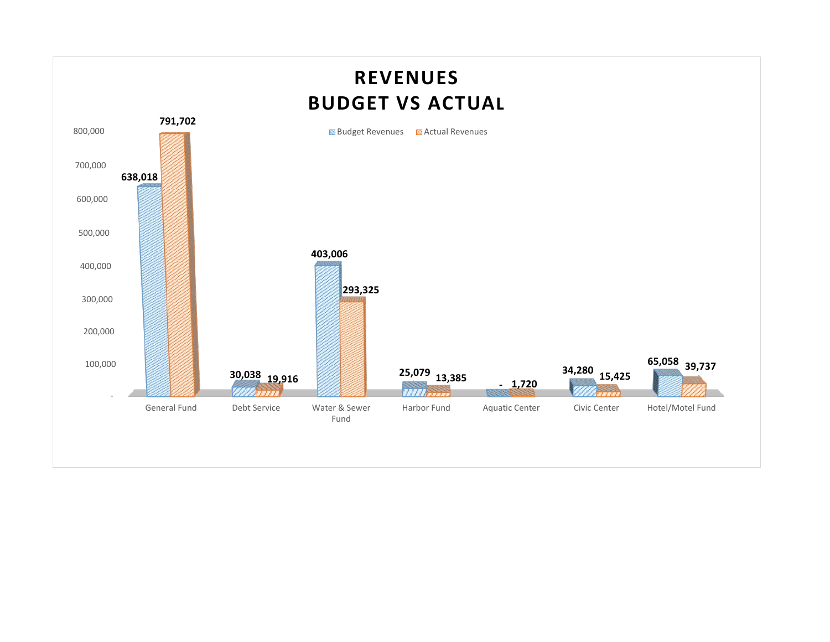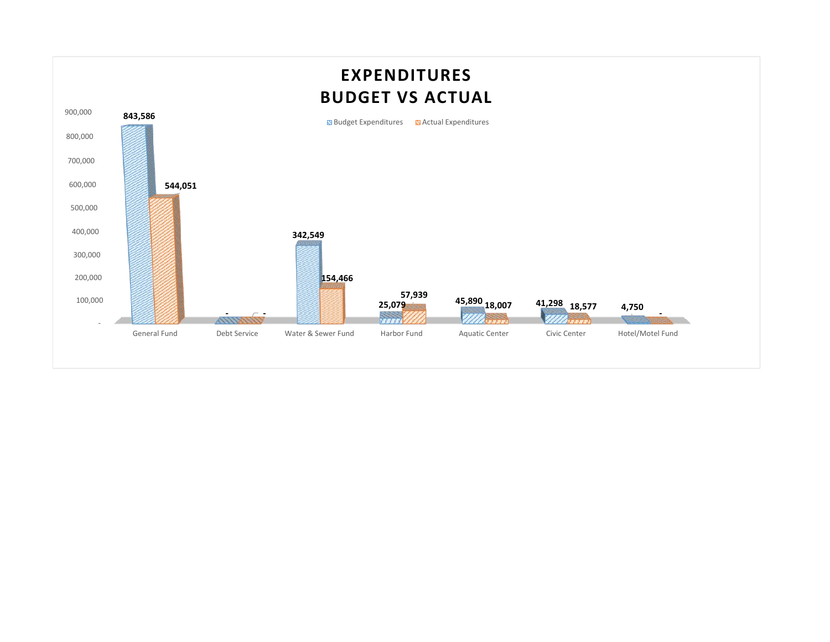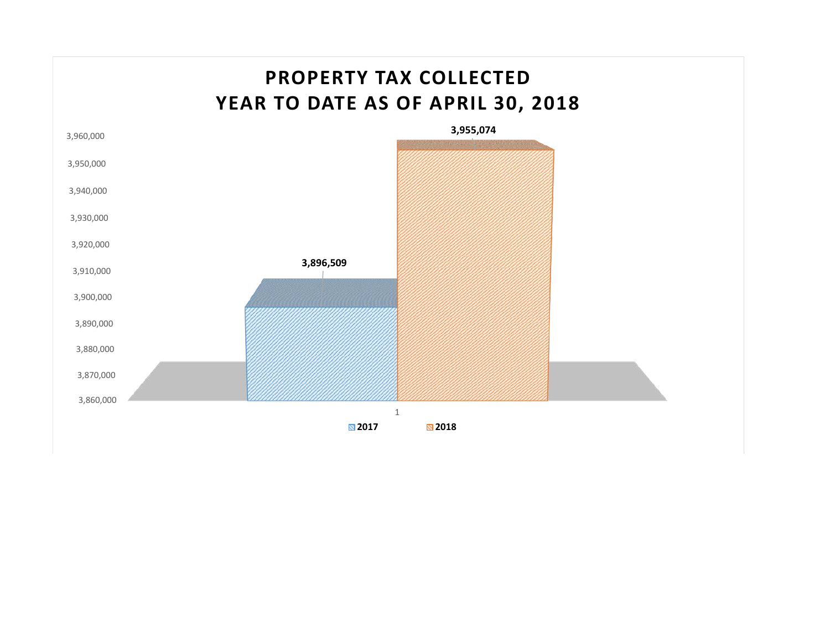